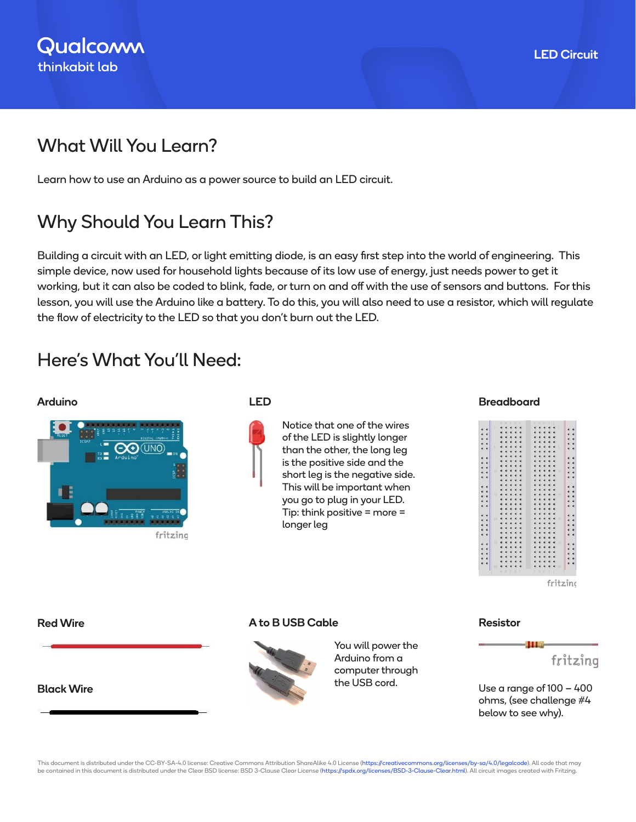## What Will You Learn?

Learn how to use an Arduino as a power source to build an LED circuit.

# Why Should You Learn This?

Building a circuit with an LED, or light emitting diode, is an easy first step into the world of engineering. This simple device, now used for household lights because of its low use of energy, just needs power to get it working, but it can also be coded to blink, fade, or turn on and off with the use of sensors and buttons. For this lesson, you will use the Arduino like a battery. To do this, you will also need to use a resistor, which will regulate the flow of electricity to the LED so that you don't burn out the LED.

## Here's What You'll Need:



Notice that one of the wires of the LED is slightly longer than the other, the long leg is the positive side and the short leg is the negative side. This will be important when you go to plug in your LED. Tip: think positive = more = longer leg

### Arduino LED Breadboard



#### Red Wire

#### Black Wire

### A to B USB Cable



You will power the Arduino from a computer through the USB cord.

#### Resistor



Use a range of 100 – 400 ohms, (see challenge #4 below to see why).

This document is distributed under the CC-BY-SA-4.0 license: Creative Commons Attribution ShareAlike 4.0 License (https://creativecommons.org/licenses/by-sa/4.0/legalcode). All code that may be contained in this document is distributed under the Clear BSD license: BSD 3-Clause Clear License (https://spdx.org/licenses/BSD-3-Clause-Clear.html). All circuit images created with Fritzing.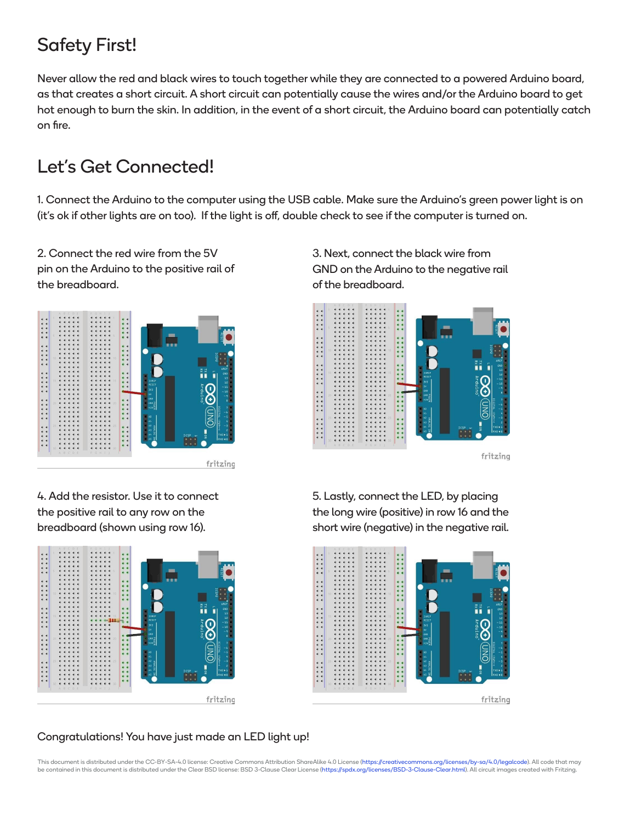# Safety First!

Never allow the red and black wires to touch together while they are connected to a powered Arduino board, as that creates a short circuit. A short circuit can potentially cause the wires and/or the Arduino board to get hot enough to burn the skin. In addition, in the event of a short circuit, the Arduino board can potentially catch on fire.

# Let's Get Connected!

1. Connect the Arduino to the computer using the USB cable. Make sure the Arduino's green power light is on (it's ok if other lights are on too). If the light is off, double check to see if the computer is turned on.

2. Connect the red wire from the 5V pin on the Arduino to the positive rail of the breadboard.



4. Add the resistor. Use it to connect the positive rail to any row on the breadboard (shown using row 16).



3. Next, connect the black wire from GND on the Arduino to the negative rail of the breadboard.



5. Lastly, connect the LED, by placing the long wire (positive) in row 16 and the short wire (negative) in the negative rail.



### Congratulations! You have just made an LED light up!

This document is distributed under the CC-BY-SA-4.0 license: Creative Commons Attribution ShareAlike 4.0 License (https://creativecommons.org/licenses/by-sa/4.0/legalcode). All code that may be contained in this document is distributed under the Clear BSD license: BSD 3-Clause Clear License (https://spdx.org/licenses/BSD-3-Clause-Clear.html). All circuit images created with Fritzing.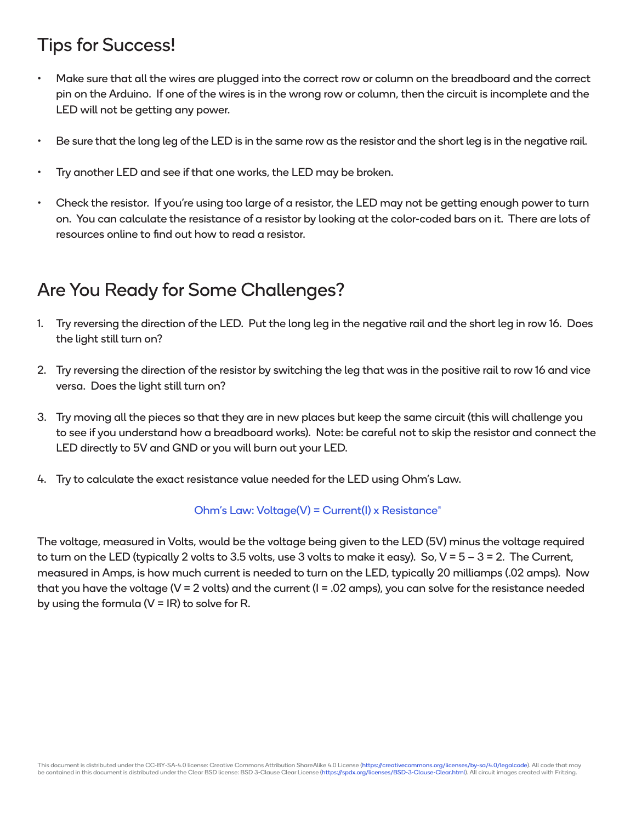### Tips for Success!

- Make sure that all the wires are plugged into the correct row or column on the breadboard and the correct pin on the Arduino. If one of the wires is in the wrong row or column, then the circuit is incomplete and the LED will not be getting any power.
- Be sure that the long leg of the LED is in the same row as the resistor and the short leg is in the negative rail.
- Try another LED and see if that one works, the LED may be broken.
- Check the resistor. If you're using too large of a resistor, the LED may not be getting enough power to turn on. You can calculate the resistance of a resistor by looking at the color-coded bars on it. There are lots of resources online to find out how to read a resistor.

### Are You Ready for Some Challenges?

- 1. Try reversing the direction of the LED. Put the long leg in the negative rail and the short leg in row 16. Does the light still turn on?
- 2. Try reversing the direction of the resistor by switching the leg that was in the positive rail to row 16 and vice versa. Does the light still turn on?
- 3. Try moving all the pieces so that they are in new places but keep the same circuit (this will challenge you to see if you understand how a breadboard works). Note: be careful not to skip the resistor and connect the LED directly to 5V and GND or you will burn out your LED.
- 4. Try to calculate the exact resistance value needed for the LED using Ohm's Law.

### Ohm's Law: Voltage(V) = Current(I) x Resistance $^{\circ}$

The voltage, measured in Volts, would be the voltage being given to the LED (5V) minus the voltage required to turn on the LED (typically 2 volts to 3.5 volts, use 3 volts to make it easy). So,  $V = 5 - 3 = 2$ . The Current, measured in Amps, is how much current is needed to turn on the LED, typically 20 milliamps (.02 amps). Now that you have the voltage (V = 2 volts) and the current (I = .02 amps), you can solve for the resistance needed by using the formula ( $V = IR$ ) to solve for R.